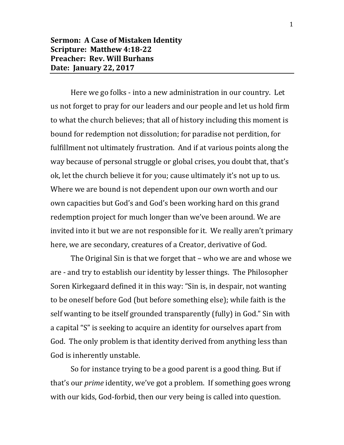Here we go folks - into a new administration in our country. Let us not forget to pray for our leaders and our people and let us hold firm to what the church believes; that all of history including this moment is bound for redemption not dissolution; for paradise not perdition, for fulfillment not ultimately frustration. And if at various points along the way because of personal struggle or global crises, you doubt that, that's ok, let the church believe it for you; cause ultimately it's not up to us. Where we are bound is not dependent upon our own worth and our own capacities but God's and God's been working hard on this grand redemption project for much longer than we've been around. We are invited into it but we are not responsible for it. We really aren't primary here, we are secondary, creatures of a Creator, derivative of God.

The Original Sin is that we forget that – who we are and whose we are - and try to establish our identity by lesser things. The Philosopher Soren Kirkegaard defined it in this way: "Sin is, in despair, not wanting to be oneself before God (but before something else); while faith is the self wanting to be itself grounded transparently (fully) in God." Sin with a capital "S" is seeking to acquire an identity for ourselves apart from God. The only problem is that identity derived from anything less than God is inherently unstable.

So for instance trying to be a good parent is a good thing. But if that's our *prime* identity, we've got a problem. If something goes wrong with our kids, God-forbid, then our very being is called into question.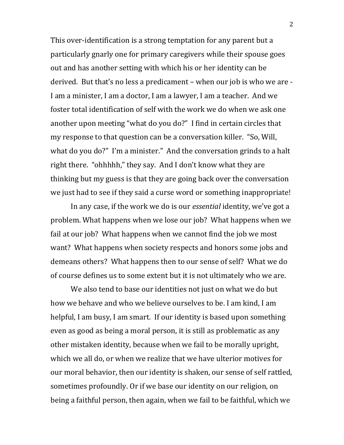This over-identification is a strong temptation for any parent but a particularly gnarly one for primary caregivers while their spouse goes out and has another setting with which his or her identity can be derived. But that's no less a predicament – when our job is who we are - I am a minister, I am a doctor, I am a lawyer, I am a teacher. And we foster total identification of self with the work we do when we ask one another upon meeting "what do you do?" I find in certain circles that my response to that question can be a conversation killer. "So, Will, what do you do?" I'm a minister." And the conversation grinds to a halt right there. "ohhhhh," they say. And I don't know what they are thinking but my guess is that they are going back over the conversation we just had to see if they said a curse word or something inappropriate!

In any case, if the work we do is our *essential* identity, we've got a problem. What happens when we lose our job? What happens when we fail at our job? What happens when we cannot find the job we most want? What happens when society respects and honors some jobs and demeans others? What happens then to our sense of self? What we do of course defines us to some extent but it is not ultimately who we are.

We also tend to base our identities not just on what we do but how we behave and who we believe ourselves to be. I am kind, I am helpful, I am busy, I am smart. If our identity is based upon something even as good as being a moral person, it is still as problematic as any other mistaken identity, because when we fail to be morally upright, which we all do, or when we realize that we have ulterior motives for our moral behavior, then our identity is shaken, our sense of self rattled, sometimes profoundly. Or if we base our identity on our religion, on being a faithful person, then again, when we fail to be faithful, which we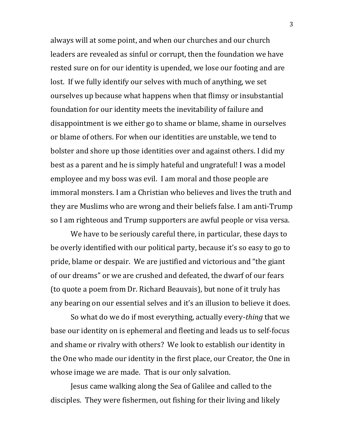always will at some point, and when our churches and our church leaders are revealed as sinful or corrupt, then the foundation we have rested sure on for our identity is upended, we lose our footing and are lost. If we fully identify our selves with much of anything, we set ourselves up because what happens when that flimsy or insubstantial foundation for our identity meets the inevitability of failure and disappointment is we either go to shame or blame, shame in ourselves or blame of others. For when our identities are unstable, we tend to bolster and shore up those identities over and against others. I did my best as a parent and he is simply hateful and ungrateful! I was a model employee and my boss was evil. I am moral and those people are immoral monsters. I am a Christian who believes and lives the truth and they are Muslims who are wrong and their beliefs false. I am anti-Trump so I am righteous and Trump supporters are awful people or visa versa.

We have to be seriously careful there, in particular, these days to be overly identified with our political party, because it's so easy to go to pride, blame or despair. We are justified and victorious and "the giant of our dreams" or we are crushed and defeated, the dwarf of our fears (to quote a poem from Dr. Richard Beauvais), but none of it truly has any bearing on our essential selves and it's an illusion to believe it does.

So what do we do if most everything, actually every-*thing* that we base our identity on is ephemeral and fleeting and leads us to self-focus and shame or rivalry with others? We look to establish our identity in the One who made our identity in the first place, our Creator, the One in whose image we are made. That is our only salvation.

Jesus came walking along the Sea of Galilee and called to the disciples. They were fishermen, out fishing for their living and likely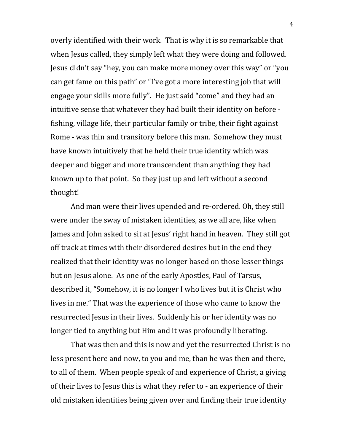overly identified with their work. That is why it is so remarkable that when Jesus called, they simply left what they were doing and followed. Jesus didn't say "hey, you can make more money over this way" or "you can get fame on this path" or "I've got a more interesting job that will engage your skills more fully". He just said "come" and they had an intuitive sense that whatever they had built their identity on before fishing, village life, their particular family or tribe, their fight against Rome - was thin and transitory before this man. Somehow they must have known intuitively that he held their true identity which was deeper and bigger and more transcendent than anything they had known up to that point. So they just up and left without a second thought!

And man were their lives upended and re-ordered. Oh, they still were under the sway of mistaken identities, as we all are, like when James and John asked to sit at Jesus' right hand in heaven. They still got off track at times with their disordered desires but in the end they realized that their identity was no longer based on those lesser things but on Jesus alone. As one of the early Apostles, Paul of Tarsus, described it, "Somehow, it is no longer I who lives but it is Christ who lives in me." That was the experience of those who came to know the resurrected Jesus in their lives. Suddenly his or her identity was no longer tied to anything but Him and it was profoundly liberating.

That was then and this is now and yet the resurrected Christ is no less present here and now, to you and me, than he was then and there, to all of them. When people speak of and experience of Christ, a giving of their lives to Jesus this is what they refer to - an experience of their old mistaken identities being given over and finding their true identity